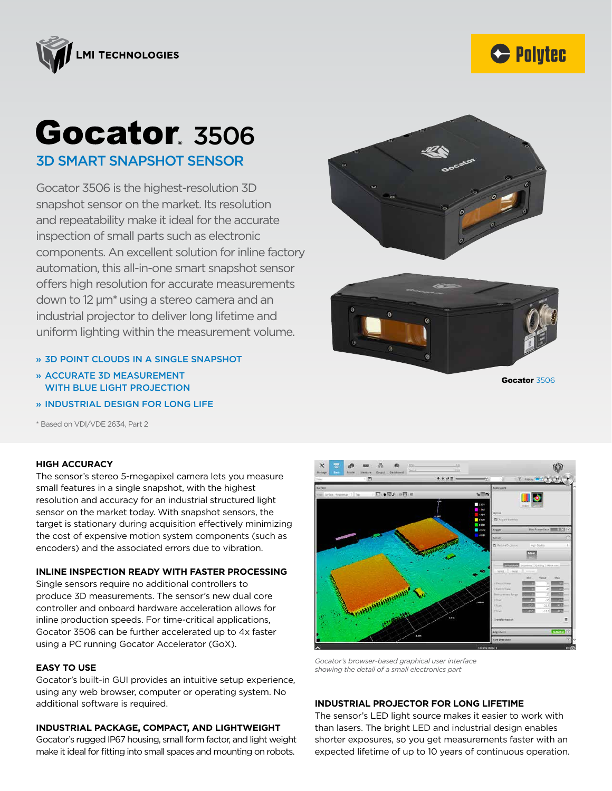



Gocator 3506

# **Gocator**, 3506 3D SMART SNAPSHOT SENSOR

Gocator 3506 is the highest-resolution 3D snapshot sensor on the market. Its resolution and repeatability make it ideal for the accurate inspection of small parts such as electronic components. An excellent solution for inline factory automation, this all-in-one smart snapshot sensor offers high resolution for accurate measurements down to 12 µm\*using a stereo camera and an industrial projector to deliver long lifetime and uniform lighting within the measurement volume.





- » 3D POINT CLOUDS IN A SINGLE SNAPSHOT
- » ACCURATE 3D MEASUREMENT WITH BLUE LIGHT PROJECTION
- » INDUSTRIAL DESIGN FOR LONG LIFE

\* Based on VDI/VDE 2634, Part 2

#### **HIGH ACCURACY**

The sensor's stereo 5-megapixel camera lets you measure small features in a single snapshot, with the highest resolution and accuracy for an industrial structured light sensor on the market today. With snapshot sensors, the target is stationary during acquisition effectively minimizing the cost of expensive motion system components (such as encoders) and the associated errors due to vibration.

### **INLINE INSPECTION READY WITH FASTER PROCESSING**

Single sensors require no additional controllers to produce 3D measurements. The sensor's new dual core controller and onboard hardware acceleration allows for inline production speeds. For time-critical applications, Gocator 3506 can be further accelerated up to 4x faster using a PC running Gocator Accelerator (GoX).

#### **EASY TO USE**

Gocator's built-in GUI provides an intuitive setup experience, using any web browser, computer or operating system. No additional software is required.

#### **INDUSTRIAL PACKAGE, COMPACT, AND LIGHTWEIGHT**

Gocator's rugged IP67 housing, small form factor, and light weight make it ideal for fitting into small spaces and mounting on robots.



*Gocator's browser-based graphical user interface showing the detail of a small electronics part*

## **INDUSTRIAL PROJECTOR FOR LONG LIFETIME**

The sensor's LED light source makes it easier to work with than lasers. The bright LED and industrial design enables shorter exposures, so you get measurements faster with an expected lifetime of up to 10 years of continuous operation.